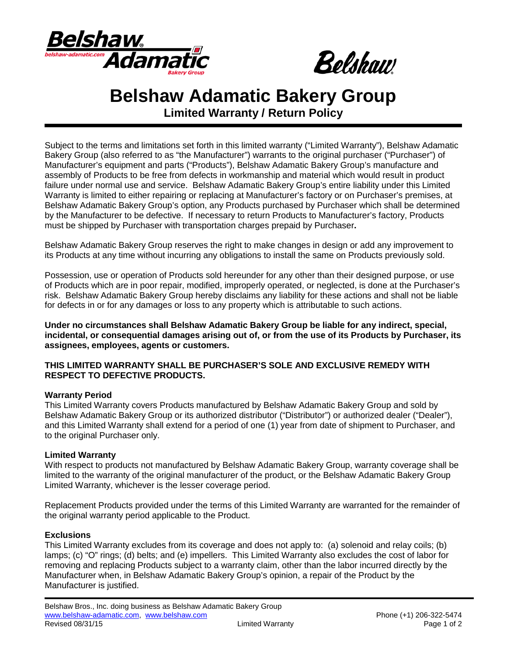



# **Belshaw Adamatic Bakery Group**

**Limited Warranty / Return Policy**

Subject to the terms and limitations set forth in this limited warranty ("Limited Warranty"), Belshaw Adamatic Bakery Group (also referred to as "the Manufacturer") warrants to the original purchaser ("Purchaser") of Manufacturer's equipment and parts ("Products"), Belshaw Adamatic Bakery Group's manufacture and assembly of Products to be free from defects in workmanship and material which would result in product failure under normal use and service. Belshaw Adamatic Bakery Group's entire liability under this Limited Warranty is limited to either repairing or replacing at Manufacturer's factory or on Purchaser's premises, at Belshaw Adamatic Bakery Group's option, any Products purchased by Purchaser which shall be determined by the Manufacturer to be defective. If necessary to return Products to Manufacturer's factory, Products must be shipped by Purchaser with transportation charges prepaid by Purchaser**.** 

Belshaw Adamatic Bakery Group reserves the right to make changes in design or add any improvement to its Products at any time without incurring any obligations to install the same on Products previously sold.

Possession, use or operation of Products sold hereunder for any other than their designed purpose, or use of Products which are in poor repair, modified, improperly operated, or neglected, is done at the Purchaser's risk. Belshaw Adamatic Bakery Group hereby disclaims any liability for these actions and shall not be liable for defects in or for any damages or loss to any property which is attributable to such actions.

**Under no circumstances shall Belshaw Adamatic Bakery Group be liable for any indirect, special, incidental, or consequential damages arising out of, or from the use of its Products by Purchaser, its assignees, employees, agents or customers.**

## **THIS LIMITED WARRANTY SHALL BE PURCHASER'S SOLE AND EXCLUSIVE REMEDY WITH RESPECT TO DEFECTIVE PRODUCTS.**

## **Warranty Period**

This Limited Warranty covers Products manufactured by Belshaw Adamatic Bakery Group and sold by Belshaw Adamatic Bakery Group or its authorized distributor ("Distributor") or authorized dealer ("Dealer"), and this Limited Warranty shall extend for a period of one (1) year from date of shipment to Purchaser, and to the original Purchaser only.

## **Limited Warranty**

With respect to products not manufactured by Belshaw Adamatic Bakery Group, warranty coverage shall be limited to the warranty of the original manufacturer of the product, or the Belshaw Adamatic Bakery Group Limited Warranty, whichever is the lesser coverage period.

Replacement Products provided under the terms of this Limited Warranty are warranted for the remainder of the original warranty period applicable to the Product.

## **Exclusions**

This Limited Warranty excludes from its coverage and does not apply to: (a) solenoid and relay coils; (b) lamps; (c) "O" rings; (d) belts; and (e) impellers. This Limited Warranty also excludes the cost of labor for removing and replacing Products subject to a warranty claim, other than the labor incurred directly by the Manufacturer when, in Belshaw Adamatic Bakery Group's opinion, a repair of the Product by the Manufacturer is justified.